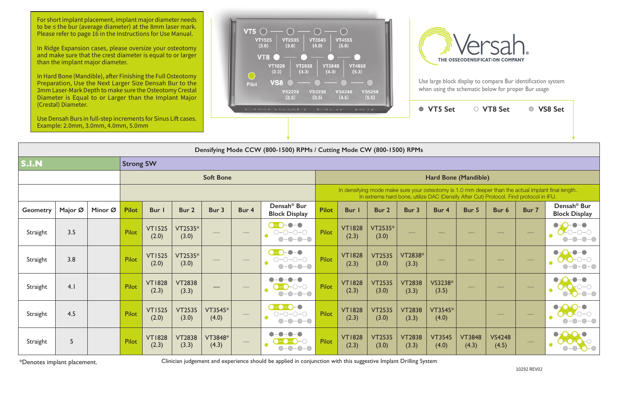| i < i t                 |                                                                                       |                        | VT5 Set                |                             | ○ VT8 Set              |       | <b>VS8 Set</b>                                                                                     |  |  |  |  |
|-------------------------|---------------------------------------------------------------------------------------|------------------------|------------------------|-----------------------------|------------------------|-------|----------------------------------------------------------------------------------------------------|--|--|--|--|
|                         |                                                                                       |                        |                        |                             |                        |       |                                                                                                    |  |  |  |  |
| Mode CW (800-1500) RPMs |                                                                                       |                        |                        |                             |                        |       |                                                                                                    |  |  |  |  |
|                         |                                                                                       |                        |                        |                             |                        |       |                                                                                                    |  |  |  |  |
|                         |                                                                                       |                        |                        | <b>Hard Bone (Mandible)</b> |                        |       |                                                                                                    |  |  |  |  |
|                         | In extreme hard bone, utilize DAC (Densify After Cut) Protocol. Find protocol in IFU. |                        |                        |                             |                        |       | In densifying mode make sure your osteotomy is 1.0 mm deeper than the actual implant final length. |  |  |  |  |
| Bur I                   | Bur <sub>2</sub>                                                                      | Bur 3                  | Bur 4                  | Bur 5                       | Bur <sub>6</sub>       | Bur 7 | Densah <sup>®</sup> Bur<br><b>Block Display</b>                                                    |  |  |  |  |
| <b>VT1828</b><br>(2.3)  | $VT2535*$<br>(3.0)                                                                    |                        |                        |                             |                        |       |                                                                                                    |  |  |  |  |
| <b>VT1828</b><br>(2.3)  | <b>VT2535</b><br>(3.0)                                                                | VT2838*<br>(3.3)       |                        |                             |                        |       |                                                                                                    |  |  |  |  |
| <b>VT1828</b><br>(2.3)  | <b>VT2535</b><br>(3.0)                                                                | <b>VT2838</b><br>(3.3) | VS3238*<br>(3.5)       |                             |                        |       |                                                                                                    |  |  |  |  |
| <b>VT1828</b><br>(2.3)  | <b>VT2535</b><br>(3.0)                                                                | <b>VT2838</b><br>(3.3) | VT3545*<br>(4.0)       |                             |                        |       |                                                                                                    |  |  |  |  |
| <b>VT1828</b><br>(2.3)  | <b>VT2535</b><br>(3.0)                                                                | <b>VT2838</b><br>(3.3) | <b>VT3545</b><br>(4.0) | <b>VT3848</b><br>(4.3)      | <b>VS4248</b><br>(4.5) |       |                                                                                                    |  |  |  |  |

**Densifying Mode CCW (800-1500) RPMs / Cutting Mode CW (800-1500) RPMs**

| Densitying Plode CCW (600-1300) NEPS / Cutting Plode CW (600-1300) NEPS |         |         |                  |                        |                        |                  |                                   |                                                                                                                                                                                             |              |                        |                        |                         |                        |                        |                        |       |                                                 |
|-------------------------------------------------------------------------|---------|---------|------------------|------------------------|------------------------|------------------|-----------------------------------|---------------------------------------------------------------------------------------------------------------------------------------------------------------------------------------------|--------------|------------------------|------------------------|-------------------------|------------------------|------------------------|------------------------|-------|-------------------------------------------------|
| <b>S.I.N</b><br><b>Strong SW</b>                                        |         |         |                  |                        |                        |                  |                                   |                                                                                                                                                                                             |              |                        |                        |                         |                        |                        |                        |       |                                                 |
|                                                                         |         |         | <b>Soft Bone</b> |                        |                        |                  |                                   | Hard Bone (Mandible)                                                                                                                                                                        |              |                        |                        |                         |                        |                        |                        |       |                                                 |
|                                                                         |         |         |                  |                        |                        |                  |                                   | In densifying mode make sure your osteotomy is 1.0 mm deeper than the actual implant final length.<br>In extreme hard bone, utilize DAC (Densify After Cut) Protocol. Find protocol in IFU. |              |                        |                        |                         |                        |                        |                        |       |                                                 |
| <b>Geometry</b>                                                         | Major Ø | Minor Ø | <b>Pilot</b>     | Bur I                  | Bur 2                  | Bur 3            | Bur 4                             | Densah <sup>®</sup> Bur<br><b>Block Display</b>                                                                                                                                             | <b>Pilot</b> | <b>Bur</b> I           | Bur 2                  | Bur 3                   | Bur 4                  | Bur 5                  | Bur 6                  | Bur 7 | Densah <sup>®</sup> Bur<br><b>Block Display</b> |
| Straight                                                                | 3.5     |         | Pilot            | <b>VT1525</b><br>(2.0) | VT2535*<br>(3.0)       |                  |                                   | $  \bullet$<br>$\bullet$ - $\bullet$<br>$O-O-O-O$<br>$\bigcap$ $\bigcap$                                                                                                                    | Pilot        | <b>VT1828</b><br>(2.3) | VT2535*<br>(3.0)       |                         |                        |                        |                        |       | $\bullet$ – $\bullet$                           |
| Straight                                                                | 3.8     |         | Pilot            | <b>VT1525</b><br>(2.0) | VT2535*<br>(3.0)       |                  |                                   | $\bigcirc$<br>$\bullet$<br>$\bigcirc - \bigcirc - \bigcirc - \bigcirc$<br>$\bigcirc$ - $\bigcirc$                                                                                           | Pilot        | <b>VT1828</b><br>(2.3) | <b>VT2535</b><br>(3.0) | <b>VT2838*</b><br>(3.3) |                        |                        |                        |       |                                                 |
| Straight                                                                | 4.1     |         | Pilot            | <b>VT1828</b><br>(2.3) | <b>VT2838</b><br>(3.3) |                  |                                   | $ \bigcap$ $ \bigcap$<br>$\bigcirc - \bigcirc$                                                                                                                                              | <b>Pilot</b> | <b>VT1828</b><br>(2.3) | <b>VT2535</b><br>(3.0) | <b>VT2838</b><br>(3.3)  | VS3238*<br>(3.5)       |                        |                        |       |                                                 |
| Straight                                                                | 4.5     |         | Pilot            | <b>VT1525</b><br>(2.0) | <b>VT2535</b><br>(3.0) | VT3545*<br>(4.0) | $\overbrace{\phantom{aaaaa}}^{a}$ | $\Omega$ = $\Omega$ = $\Omega$ = $\Omega$<br>$O-O-O-O$<br>$  \bigcirc$                                                                                                                      | <b>Pilot</b> | <b>VT1828</b><br>(2.3) | <b>VT2535</b><br>(3.0) | <b>VT2838</b><br>(3.3)  | VT3545*<br>(4.0)       |                        |                        |       |                                                 |
| Straight                                                                | 5       |         | Pilot            | <b>VT1828</b><br>(2.3) | <b>VT2838</b><br>(3.3) | VT3848*<br>(4.3) |                                   | $\bigcap$ -                                                                                                                                                                                 | Pilot        | <b>VT1828</b><br>(2.3) | <b>VT2535</b><br>(3.0) | <b>VT2838</b><br>(3.3)  | <b>VT3545</b><br>(4.0) | <b>VT3848</b><br>(4.3) | <b>VS4248</b><br>(4.5) |       |                                                 |

\*Denotes implant placement.

Clinician judgement and experience should be applied in conjunction with this suggestive Implant Drilling System

For short implant placement, implant major diameter needs to be ≤ the bur (average diameter) at the 8mm laser mark. Please refer to page 16 in the Instructions for Use Manual.

In Ridge Expansion cases, please oversize your osteotomy and make sure that the crest diameter is equal to or larger than the implant major diameter.

In Hard Bone (Mandible), after Finishing the Full Osteotomy Preparation, Use the Next Larger Size Densah Bur to the 3mm Laser-Mark Depth to make sure the Osteotomy Crestal Diameter is Equal to or Larger than the Implant Major (Crestal) Diameter.

Use Densah Burs in full-step increments for Sinus Lift cases. Example: 2.0mm, 3.0mm, 4.0mm, 5.0mm





Use large block display to compare Bur identification system when using the schematic below for proper Bur usage